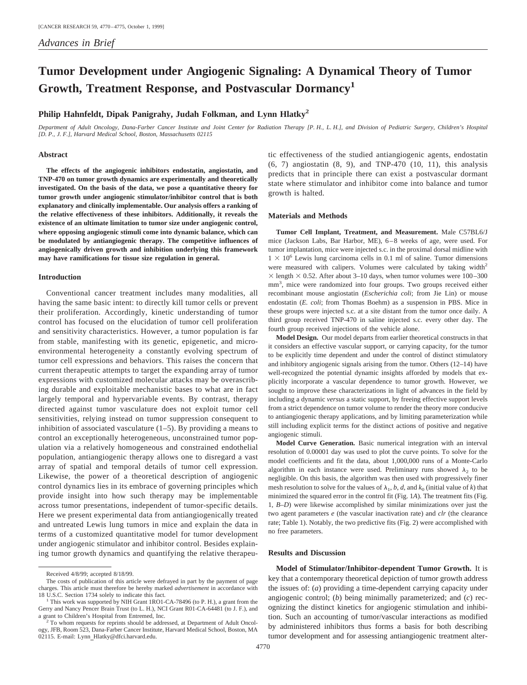# **Tumor Development under Angiogenic Signaling: A Dynamical Theory of Tumor Growth, Treatment Response, and Postvascular Dormancy<sup>1</sup>**

# **Philip Hahnfeldt, Dipak Panigrahy, Judah Folkman, and Lynn Hlatky2**

*Department of Adult Oncology, Dana-Farber Cancer Institute and Joint Center for Radiation Therapy [P. H., L. H.], and Division of Pediatric Surgery, Children's Hospital [D. P., J. F.], Harvard Medical School, Boston, Massachusetts 02115*

#### **Abstract**

**The effects of the angiogenic inhibitors endostatin, angiostatin, and TNP-470 on tumor growth dynamics are experimentally and theoretically investigated. On the basis of the data, we pose a quantitative theory for tumor growth under angiogenic stimulator/inhibitor control that is both explanatory and clinically implementable. Our analysis offers a ranking of the relative effectiveness of these inhibitors. Additionally, it reveals the existence of an ultimate limitation to tumor size under angiogenic control, where opposing angiogenic stimuli come into dynamic balance, which can be modulated by antiangiogenic therapy. The competitive influences of angiogenically driven growth and inhibition underlying this framework may have ramifications for tissue size regulation in general.**

### **Introduction**

Conventional cancer treatment includes many modalities, all having the same basic intent: to directly kill tumor cells or prevent their proliferation. Accordingly, kinetic understanding of tumor control has focused on the elucidation of tumor cell proliferation and sensitivity characteristics. However, a tumor population is far from stable, manifesting with its genetic, epigenetic, and microenvironmental heterogeneity a constantly evolving spectrum of tumor cell expressions and behaviors. This raises the concern that current therapeutic attempts to target the expanding array of tumor expressions with customized molecular attacks may be overascribing durable and exploitable mechanistic bases to what are in fact largely temporal and hypervariable events. By contrast, therapy directed against tumor vasculature does not exploit tumor cell sensitivities, relying instead on tumor suppression consequent to inhibition of associated vasculature (1–5). By providing a means to control an exceptionally heterogeneous, unconstrained tumor population via a relatively homogeneous and constrained endothelial population, antiangiogenic therapy allows one to disregard a vast array of spatial and temporal details of tumor cell expression. Likewise, the power of a theoretical description of angiogenic control dynamics lies in its embrace of governing principles which provide insight into how such therapy may be implementable across tumor presentations, independent of tumor-specific details. Here we present experimental data from antiangiogenically treated and untreated Lewis lung tumors in mice and explain the data in terms of a customized quantitative model for tumor development under angiogenic stimulator and inhibitor control. Besides explaining tumor growth dynamics and quantifying the relative therapeutic effectiveness of the studied antiangiogenic agents, endostatin (6, 7) angiostatin (8, 9), and TNP-470 (10, 11), this analysis predicts that in principle there can exist a postvascular dormant state where stimulator and inhibitor come into balance and tumor growth is halted.

# **Materials and Methods**

**Tumor Cell Implant, Treatment, and Measurement.** Male C57BL6/J mice (Jackson Labs, Bar Harbor, ME), 6–8 weeks of age, were used. For tumor implantation, mice were injected s.c. in the proximal dorsal midline with  $1 \times 10^6$  Lewis lung carcinoma cells in 0.1 ml of saline. Tumor dimensions were measured with calipers. Volumes were calculated by taking width<sup>2</sup>  $\times$  length  $\times$  0.52. After about 3–10 days, when tumor volumes were 100–300 mm<sup>3</sup>, mice were randomized into four groups. Two groups received either recombinant mouse angiostatin (*Escherichia coli*; from Jie Lin) or mouse endostatin (*E. coli*; from Thomas Boehm) as a suspension in PBS. Mice in these groups were injected s.c. at a site distant from the tumor once daily. A third group received TNP-470 in saline injected s.c. every other day. The fourth group received injections of the vehicle alone.

**Model Design.** Our model departs from earlier theoretical constructs in that it considers an effective vascular support, or carrying capacity, for the tumor to be explicitly time dependent and under the control of distinct stimulatory and inhibitory angiogenic signals arising from the tumor. Others (12–14) have well-recognized the potential dynamic insights afforded by models that explicitly incorporate a vascular dependence to tumor growth. However, we sought to improve these characterizations in light of advances in the field by including a dynamic *versus* a static support, by freeing effective support levels from a strict dependence on tumor volume to render the theory more conducive to antiangiogenic therapy applications, and by limiting parameterization while still including explicit terms for the distinct actions of positive and negative angiogenic stimuli.

**Model Curve Generation.** Basic numerical integration with an interval resolution of 0.00001 day was used to plot the curve points. To solve for the model coefficients and fit the data, about 1,000,000 runs of a Monte-Carlo algorithm in each instance were used. Preliminary runs showed  $\lambda_2$  to be negligible. On this basis, the algorithm was then used with progressively finer mesh resolution to solve for the values of  $\lambda_1$ , *b*, *d*, and  $k_0$  (initial value of *k*) that minimized the squared error in the control fit (Fig. 1*A*). The treatment fits (Fig. 1, *B–D*) were likewise accomplished by similar minimizations over just the two agent parameters *e* (the vascular inactivation rate) and *clr* (the clearance rate; Table 1). Notably, the two predictive fits (Fig. 2) were accomplished with no free parameters.

# **Results and Discussion**

**Model of Stimulator/Inhibitor-dependent Tumor Growth.** It is key that a contemporary theoretical depiction of tumor growth address the issues of: (*a*) providing a time-dependent carrying capacity under angiogenic control; (*b*) being minimally parameterized; and (*c*) recognizing the distinct kinetics for angiogenic stimulation and inhibition. Such an accounting of tumor/vascular interactions as modified by administered inhibitors thus forms a basis for both describing tumor development and for assessing antiangiogenic treatment alter-

Received 4/8/99; accepted 8/18/99.

The costs of publication of this article were defrayed in part by the payment of page charges. This article must therefore be hereby marked *advertisement* in accordance with

<sup>18</sup> U.S.C. Section 1734 solely to indicate this fact. <sup>1</sup> This work was supported by NIH Grant 1RO1-CA-78496 (to P. H.), a grant from the Gerry and Nancy Pencer Brain Trust (to L. H.), NCI Grant R01-CA-64481 (to J. F.), and a grant to Children's Hospital from Entremed, Inc.<br><sup>2</sup> To whom requests for reprints should be addressed, at Department of Adult Oncol-

ogy, JFB, Room 523, Dana-Farber Cancer Institute, Harvard Medical School, Boston, MA 02115. E-mail: Lynn\_Hlatky@dfci.harvard.edu.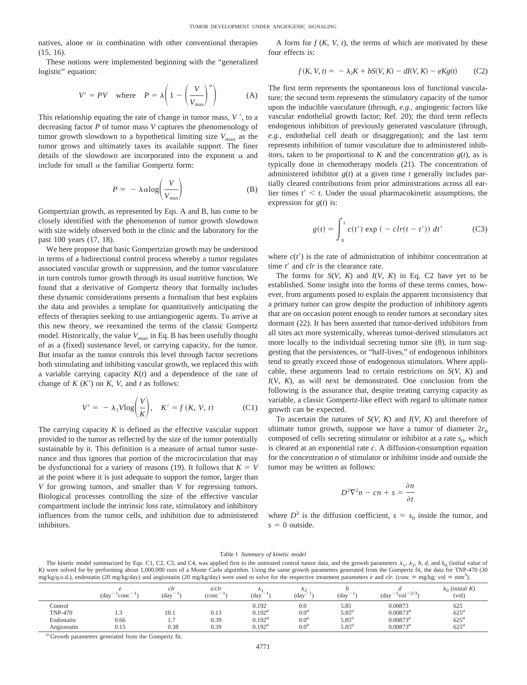natives, alone or in combination with other conventional therapies (15, 16).

These notions were implemented beginning with the "generalized logistic" equation:

$$
V' = PV \quad \text{where} \quad P = \lambda \left( 1 - \left( \frac{V}{V_{\text{max}}} \right)^{\alpha} \right) \tag{A}
$$

This relationship equating the rate of change in tumor mass,  $V'$ , to a decreasing factor *P* of tumor mass *V* captures the phenomenology of tumor growth slowdown to a hypothetical limiting size  $V_{\text{max}}$  as the tumor grows and ultimately taxes its available support. The finer details of the slowdown are incorporated into the exponent  $\alpha$  and include for small  $\alpha$  the familiar Gompertz form:

$$
P = -\lambda \alpha \log \left( \frac{V}{V_{\text{max}}} \right) \tag{B}
$$

Gompertzian growth, as represented by Eqs. A and B, has come to be closely identified with the phenomenon of tumor growth slowdown with size widely observed both in the clinic and the laboratory for the past 100 years (17, 18).

We here propose that basic Gompertzian growth may be understood in terms of a bidirectional control process whereby a tumor regulates associated vascular growth or suppression, and the tumor vasculature in turn controls tumor growth through its usual nutritive function. We found that a derivative of Gompertz theory that formally includes these dynamic considerations presents a formalism that best explains the data and provides a template for quantitatively anticipating the effects of therapies seeking to use antiangiogenic agents. To arrive at this new theory, we reexamined the terms of the classic Gompertz model. Historically, the value  $V_{\text{max}}$  in Eq. B has been usefully thought of as a (fixed) sustenance level, or carrying capacity, for the tumor. But insofar as the tumor controls this level through factor secretions both stimulating and inhibiting vascular growth, we replaced this with a variable carrying capacity  $K(t)$  and a dependence of the rate of change of  $K(K')$  on  $K$ ,  $V$ , and  $t$  as follows:

$$
V' = -\lambda_1 V \log \left( \frac{V}{K} \right), \quad K' = f(K, V, t) \tag{C1}
$$

The carrying capacity *K* is defined as the effective vascular support provided to the tumor as reflected by the size of the tumor potentially sustainable by it. This definition is a measure of actual tumor sustenance and thus ignores that portion of the microcirculation that may be dysfunctional for a variety of reasons (19). It follows that  $K = V$ at the point where it is just adequate to support the tumor, larger than *V* for growing tumors, and smaller than *V* for regressing tumors. Biological processes controlling the size of the effective vascular compartment include the intrinsic loss rate, stimulatory and inhibitory influences from the tumor cells, and inhibition due to administered inhibitors.

A form for  $f(K, V, t)$ , the terms of which are motivated by these four effects is:

$$
f(K, V, t) = -\lambda_2 K + bS(V, K) - dI(V, K) - eKg(t) \tag{C2}
$$

The first term represents the spontaneous loss of functional vasculature; the second term represents the stimulatory capacity of the tumor upon the inducible vasculature (through, *e.g.,* angiogenic factors like vascular endothelial growth factor; Ref. 20); the third term reflects endogenous inhibition of previously generated vasculature (through, *e.g.,* endothelial cell death or disaggregation); and the last term represents inhibition of tumor vasculature due to administered inhibitors, taken to be proportional to  $K$  and the concentration  $g(t)$ , as is typically done in chemotherapy models (21). The concentration of administered inhibitor *g*(*t*) at a given time *t* generally includes partially cleared contributions from prior administrations across all earlier times  $t' < t$ . Under the usual pharmacokinetic assumptions, the expression for *g*(*t*) is:

$$
g(t) = \int_0^t c(t') \exp(-\,c l r(t - t')) \, dt' \tag{C3}
$$

where  $c(t')$  is the rate of administration of inhibitor concentration at time *t'* and *clr* is the clearance rate.

The forms for  $S(V, K)$  and  $I(V, K)$  in Eq. C2 have yet to be established. Some insight into the forms of these terms comes, however, from arguments posed to explain the apparent inconsistency that a primary tumor can grow despite the production of inhibitory agents that are on occasion potent enough to render tumors at secondary sites dormant (22). It has been asserted that tumor-derived inhibitors from all sites act more systemically, whereas tumor-derived stimulators act more locally to the individual secreting tumor site (8), in turn suggesting that the persistences, or "half-lives," of endogenous inhibitors tend to greatly exceed those of endogenous stimulators. Where applicable, these arguments lead to certain restrictions on *S*(*V*, *K*) and *I*(*V*, *K*), as will next be demonstrated. One conclusion from the following is the assurance that, despite treating carrying capacity as variable, a classic Gompertz-like effect with regard to ultimate tumor growth can be expected.

To ascertain the natures of *S*(*V*, *K*) and *I*(*V*, *K*) and therefore of ultimate tumor growth, suppose we have a tumor of diameter  $2r_0$ composed of cells secreting stimulator or inhibitor at a rate  $s<sub>0</sub>$ , which is cleared at an exponential rate *c*. A diffusion-consumption equation for the concentration *n* of stimulator or inhibitor inside and outside the tumor may be written as follows:

$$
D^2 \nabla^2 n - c n + s = \frac{\partial n}{\partial t}
$$

where  $D^2$  is the diffusion coefficient,  $s = s_0$  inside the tumor, and  $s = 0$  outside.

#### Table 1 *Summary of kinetic model*

The kinetic model summarized by Eqs. C1, C2, C3, and C4, was applied first to the untreated control tumor data, and the growth parameters  $\lambda_1$ ,  $\lambda_2$ , *b, d,* and  $k_0$  (initial value of *K*) were solved for by performing about 1,000,000 runs of a Monte Carlo algorithm. Using the same growth parameters generated from the Gompertz fit, the data for TNP-470 (30  $mg/kg$ (q.o.d.), endostatin (20 mg/kg/day) and angiostatin (20 mg/kg/day) were used to solve for the respective treatment parameters *e* and *clr.* (conc = mg/kg; vol = mm<sup>3</sup>).

|                | $\hspace{0.1mm}-\hspace{0.1mm}$<br>$\overline{\phantom{a}}$<br>(day)<br>conc | clr<br>$\hspace{0.1mm}-\hspace{0.1mm}$<br>(day | e/clr<br>$\overline{\phantom{0}}$<br>(conc | -<br>(day | $\Lambda$<br>$\overline{\phantom{a}}$<br>$\left( \text{day} \right)$ | $\overline{\phantom{a}}$<br>(day) | $-1 - 2/3$<br>$\overline{\phantom{a}}$<br>(day<br>vol | $k_0$ (initial K)<br>(vol) |
|----------------|------------------------------------------------------------------------------|------------------------------------------------|--------------------------------------------|-----------|----------------------------------------------------------------------|-----------------------------------|-------------------------------------------------------|----------------------------|
| Control        |                                                                              |                                                |                                            | 0.192     | 0.0                                                                  | 5.85                              | 0.00873                                               | 625                        |
| <b>TNP-470</b> | ن د                                                                          | 10.1                                           | 0.13                                       | $0.192^a$ | 0.0 <sup>a</sup>                                                     | $5.85^a$                          | $0.00873^a$                                           | $625^{\circ}$              |
| Endostatin     | 0.66                                                                         | $\mathcal{L}$<br>1.7                           | 0.39                                       | $0.192^a$ | 0.0 <sup>a</sup>                                                     | $5.85^a$                          | $0.00873^a$                                           | $625^a$                    |
| Angiostatin    | 0.15                                                                         | 0.38                                           | 0.39                                       | $0.192^a$ | 0.0 <sup>a</sup>                                                     | $5.85^{a}$                        | $0.00873^a$                                           | $625^a$                    |

*<sup>a</sup>* Growth parameters generated from the Gompertz fit.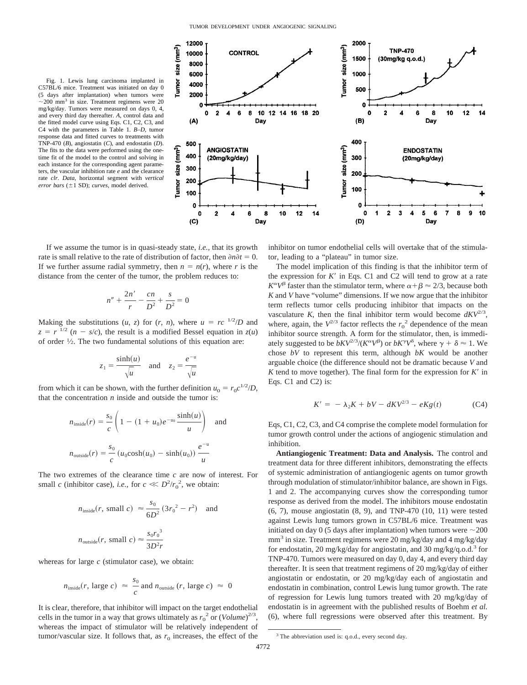Fig. 1. Lewis lung carcinoma implanted in C57BL/6 mice. Treatment was initiated on day 0 (5 days after implantation) when tumors were  $\sim$ 200 mm<sup>3</sup> in size. Treatment regimens were 20 mg/kg/day. Tumors were measured on days 0, 4, and every third day thereafter. *A,* control data and the fitted model curve using Eqs. C1, C2, C3, and C4 with the parameters in Table 1. *B–D,* tumor response data and fitted curves to treatments with TNP-470 (*B*), angiostatin (*C*), and endostatin (*D*). The fits to the data were performed using the onetime fit of the model to the control and solving in each instance for the corresponding agent parameters, the vascular inhibition rate *e* and the clearance rate *clr*. *Data,* horizontal segment with *vertical error bars* (±1 SD); *curves*, model derived.



$$
n'' + \frac{2n'}{r} - \frac{cn}{D^2} + \frac{s}{D^2} = 0
$$

Making the substitutions  $(u, z)$  for  $(r, n)$ , where  $u = rc^{-1/2}/D$  and  $z = r^{1/2}$  (*n* - *s*/*c*), the result is a modified Bessel equation in  $z(u)$ of order 1⁄2. The two fundamental solutions of this equation are:

$$
z_1 = \frac{\sinh(u)}{\sqrt{u}} \quad \text{and} \quad z_2 = \frac{e^{-u}}{\sqrt{u}}
$$

from which it can be shown, with the further definition  $u_0 = r_0 c^{1/2}/D$ , that the concentration  $n$  inside and outside the tumor is:

$$
n_{\text{inside}}(r) = \frac{s_0}{c} \left( 1 - (1 + u_0)e^{-u_0} \frac{\sinh(u)}{u} \right) \text{ and}
$$
  

$$
n_{\text{outside}}(r) = \frac{s_0}{c} \left( u_0 \cosh(u_0) - \sinh(u_0) \right) \frac{e^{-u}}{u}
$$

The two extremes of the clearance time *c* are now of interest. For small *c* (inhibitor case), *i.e.*, for  $c \ll D^2/r_0^2$ , we obtain:

$$
n_{\text{inside}}(r, \text{ small } c) \approx \frac{s_0}{6D^2} (3r_0^2 - r^2) \text{ and}
$$
  

$$
n_{\text{outside}}(r, \text{ small } c) \approx \frac{s_0 r_0^3}{3D^2 r}
$$

whereas for large *c* (stimulator case), we obtain:

$$
n_{\text{inside}}(r, \text{ large } c) \approx \frac{s_0}{c} \text{ and } n_{\text{outside}}(r, \text{ large } c) \approx 0
$$

It is clear, therefore, that inhibitor will impact on the target endothelial cells in the tumor in a way that grows ultimately as  $r_0^2$  or  $(Volume)^{2/3}$ , whereas the impact of stimulator will be relatively independent of tumor/vascular size. It follows that, as  $r_0$  increases, the effect of the



The model implication of this finding is that the inhibitor term of the expression for  $K'$  in Eqs. C1 and C2 will tend to grow at a rate  $K^{\alpha}V^{\beta}$  faster than the stimulator term, where  $\alpha+\beta \approx 2/3$ , because both *K* and *V* have "volume" dimensions. If we now argue that the inhibitor term reflects tumor cells producing inhibitor that impacts on the vasculature *K*, then the final inhibitor term would become  $dKV^{2/3}$ , where, again, the  $V^{2/3}$  factor reflects the  $r_0^2$  dependence of the mean inhibitor source strength. A form for the stimulator, then, is immediately suggested to be  $bKV^{2/3}/(K^{\alpha}V^{\beta})$  or  $bK^{\gamma}V^{\delta}$ , where  $\gamma + \delta \approx 1$ . We chose *bV* to represent this term, although *bK* would be another arguable choice (the difference should not be dramatic because *V* and  $K$  tend to move together). The final form for the expression for  $K'$  in Eqs. C1 and C2) is:

$$
K' = -\lambda_2 K + bV - dK V^{2/3} - eK g(t) \tag{C4}
$$

Eqs, C1, C2, C3, and C4 comprise the complete model formulation for tumor growth control under the actions of angiogenic stimulation and inhibition.

**Antiangiogenic Treatment: Data and Analysis.** The control and treatment data for three different inhibitors, demonstrating the effects of systemic administration of antiangiogenic agents on tumor growth through modulation of stimulator/inhibitor balance, are shown in Figs. 1 and 2. The accompanying curves show the corresponding tumor response as derived from the model. The inhibitors mouse endostatin (6, 7), mouse angiostatin (8, 9), and TNP-470 (10, 11) were tested against Lewis lung tumors grown in C57BL/6 mice. Treatment was initiated on day 0 (5 days after implantation) when tumors were  $\sim$ 200 mm<sup>3</sup> in size. Treatment regimens were 20 mg/kg/day and 4 mg/kg/day for endostatin, 20 mg/kg/day for angiostatin, and 30 mg/kg/q.o.d.<sup>3</sup> for TNP-470. Tumors were measured on day 0, day 4, and every third day thereafter. It is seen that treatment regimens of 20 mg/kg/day of either angiostatin or endostatin, or 20 mg/kg/day each of angiostatin and endostatin in combination, control Lewis lung tumor growth. The rate of regression for Lewis lung tumors treated with 20 mg/kg/day of endostatin is in agreement with the published results of Boehm *et al.* (6), where full regressions were observed after this treatment. By



<sup>3</sup> The abbreviation used is: q.o.d., every second day.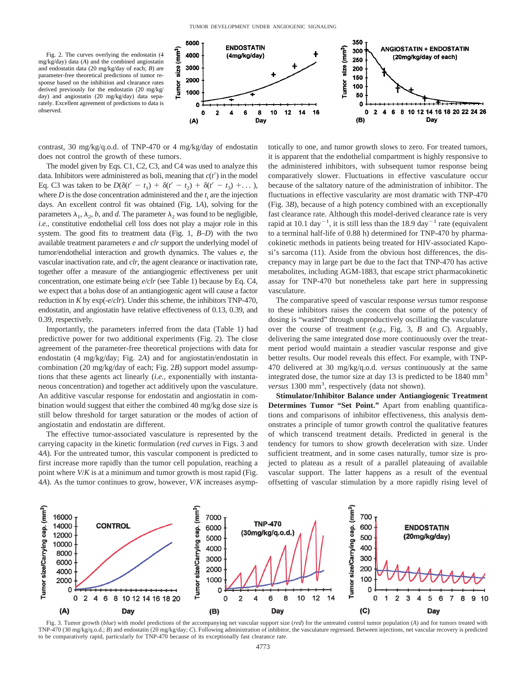Fig. 2. The curves overlying the endostatin (4 mg/kg/day) data (*A*) and the combined angiostatin and endostatin data (20 mg/kg/day of each; *B*) are parameter-free theoretical predictions of tumor response based on the inhibition and clearance rates derived previously for the endostatin (20 mg/kg/ day) and angiostatin (20 mg/kg/day) data separately. Excellent agreement of predictions to data is observed.



contrast, 30 mg/kg/q.o.d. of TNP-470 or 4 mg/kg/day of endostatin does not control the growth of these tumors.

The model given by Eqs. C1, C2, C3, and C4 was used to analyze this data. Inhibitors were administered as boli, meaning that  $c(t')$  in the model Eq. C3 was taken to be  $D(\delta(t'-t_1) + \delta(t'-t_2) + \delta(t'-t_3) + \ldots)$ , where  $D$  is the dose concentration administered and the  $t_i$  are the injection days. An excellent control fit was obtained (Fig. 1*A*), solving for the parameters  $\lambda_1$ ,  $\lambda_2$ , *b*, and *d*. The parameter  $\lambda_2$  was found to be negligible, *i.e.,* constitutive endothelial cell loss does not play a major role in this system. The good fits to treatment data (Fig. 1, *B–D*) with the two available treatment parameters *e* and *clr* support the underlying model of tumor/endothelial interaction and growth dynamics. The values *e*, the vascular inactivation rate, and *clr*, the agent clearance or inactivation rate, together offer a measure of the antiangiogenic effectiveness per unit concentration, one estimate being *e*/*clr* (see Table 1) because by Eq. C4, we expect that a bolus dose of an antiangiogenic agent will cause a factor reduction in *K* by exp(-*e*/*clr*). Under this scheme, the inhibitors TNP-470, endostatin, and angiostatin have relative effectiveness of 0.13, 0.39, and 0.39, respectively.

Importantly, the parameters inferred from the data (Table 1) had predictive power for two additional experiments (Fig. 2). The close agreement of the parameter-free theoretical projections with data for endostatin (4 mg/kg/day; Fig. 2*A*) and for angiostatin/endostatin in combination (20 mg/kg/day of each; Fig. 2*B*) support model assumptions that these agents act linearly (*i.e.,* exponentially with instantaneous concentration) and together act additively upon the vasculature. An additive vascular response for endostatin and angiostatin in combination would suggest that either the combined 40 mg/kg dose size is still below threshold for target saturation or the modes of action of angiostatin and endostatin are different.

The effective tumor-associated vasculature is represented by the carrying capacity in the kinetic formulation (*red curves* in Figs. 3 and 4*A*). For the untreated tumor, this vascular component is predicted to first increase more rapidly than the tumor cell population, reaching a point where *V*/*K* is at a minimum and tumor growth is most rapid (Fig. 4*A*). As the tumor continues to grow, however, *V*/*K* increases asymptotically to one, and tumor growth slows to zero. For treated tumors, it is apparent that the endothelial compartment is highly responsive to the administered inhibitors, with subsequent tumor response being comparatively slower. Fluctuations in effective vasculature occur because of the saltatory nature of the administration of inhibitor. The fluctuations in effective vascularity are most dramatic with TNP-470 (Fig. 3*B*), because of a high potency combined with an exceptionally fast clearance rate. Although this model-derived clearance rate is very rapid at 10.1 day<sup>-1</sup>, it is still less than the 18.9 day<sup>-1</sup> rate (equivalent to a terminal half-life of 0.88 h) determined for TNP-470 by pharmacokinetic methods in patients being treated for HIV-associated Kaposi's sarcoma (11). Aside from the obvious host differences, the discrepancy may in large part be due to the fact that TNP-470 has active metabolites, including AGM-1883, that escape strict pharmacokinetic assay for TNP-470 but nonetheless take part here in suppressing vasculature.

The comparative speed of vascular response *versus* tumor response to these inhibitors raises the concern that some of the potency of dosing is "wasted" through unproductively oscillating the vasculature over the course of treatment (*e.g.,* Fig. 3, *B* and *C*). Arguably, delivering the same integrated dose more continuously over the treatment period would maintain a steadier vascular response and give better results. Our model reveals this effect. For example, with TNP-470 delivered at 30 mg/kg/q.o.d. *versus* continuously at the same integrated dose, the tumor size at day 13 is predicted to be 1840 mm<sup>3</sup> versus 1300 mm<sup>3</sup>, respectively (data not shown).

**Stimulator/Inhibitor Balance under Antiangiogenic Treatment Determines Tumor "Set Point."** Apart from enabling quantifications and comparisons of inhibitor effectiveness, this analysis demonstrates a principle of tumor growth control the qualitative features of which transcend treatment details. Predicted in general is the tendency for tumors to show growth deceleration with size. Under sufficient treatment, and in some cases naturally, tumor size is projected to plateau as a result of a parallel plateauing of available vascular support. The latter happens as a result of the eventual offsetting of vascular stimulation by a more rapidly rising level of



Fig. 3. Tumor growth (*blue*) with model predictions of the accompanying net vascular support size (*red*) for the untreated control tumor population (*A*) and for tumors treated with TNP-470 (30 mg/kg/q.o.d.; *B*) and endostatin (20 mg/kg/day; *C*). Following administration of inhibitor, the vasculature regressed. Between injections, net vascular recovery is predicted to be comparatively rapid, particularly for TNP-470 because of its exceptionally fast clearance rate.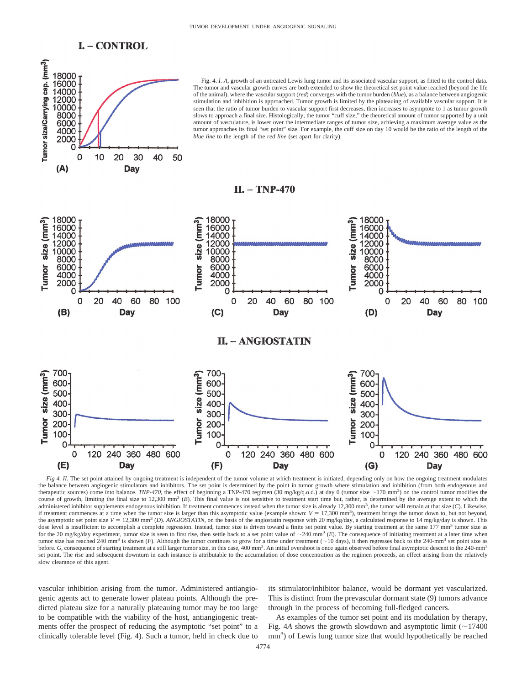



*Fig 4. II.* The set point attained by ongoing treatment is independent of the tumor volume at which treatment is initiated, depending only on how the ongoing treatment modulates the balance between angiogenic stimulators and inhibitors. The set point is determined by the point in tumor growth where stimulation and inhibition (from both endogenous and therapeutic sources) come into balance. *TNP-470*, the effect of beginning a TNP-470 regimen (30 mg/kg/q.o.d.) at day 0 (tumor size  $\sim$  170 mm<sup>3</sup>) on the control tumor modifies the course of growth, limiting the final size to 12,300 mm<sup>3</sup> (*B*). This final value is not sensitive to treatment start time but, rather, is determined by the average extent to which the administered inhibitor supplements endogenous inhibition. If treatment commences instead when the tumor size is already 12,300 mm<sup>3</sup>, the tumor will remain at that size (*C*). Likewise, if treatment commences at a time when the tumor size is larger than this asymptotic value (example shown:  $V = 17,300 \text{ mm}^3$ ), treatment brings the tumor down to, but not beyond, the asymptotic set point size  $V = 12,300 \text{ mm}^3$  (*D*). *ANGIOSTATIN*, on the basis of the angiostatin response with 20 mg/kg/day, a calculated response to 14 mg/kg/day is shown. This dose level is insufficient to accomplish a complete regression. Instead, tumor size is driven toward a finite set point value. By starting treatment at the same 177 mm<sup>3</sup> tumor size as for the 20 mg/kg/day experiment, tumor size is seen to first rise, then settle back to a set point value of  $\sim$ 240 mm<sup>3</sup> (*E*). The consequence of initiating treatment at a later time when tumor size has reached 240 mm<sup>3</sup> is shown (*F*). Although the tumor continues to grow for a time under treatment (~10 days), it then regresses back to the 240-mm<sup>3</sup> set point size as before. *G*, consequence of starting treatment at a still larger tumor size, in this case, 400 mm<sup>3</sup>. An initial overshoot is once again observed before final asymptotic descent to the 240-mm<sup>3</sup> set point. The rise and subsequent downturn in each instance is attributable to the accumulation of dose concentration as the regimen proceeds, an effect arising from the relatively slow clearance of this agent

vascular inhibition arising from the tumor. Administered antiangiogenic agents act to generate lower plateau points. Although the predicted plateau size for a naturally plateauing tumor may be too large to be compatible with the viability of the host, antiangiogenic treatments offer the prospect of reducing the asymptotic "set point" to a clinically tolerable level (Fig. 4). Such a tumor, held in check due to its stimulator/inhibitor balance, would be dormant yet vascularized. This is distinct from the prevascular dormant state (9) tumors advance through in the process of becoming full-fledged cancers.

40

60

Day

80 100

As examples of the tumor set point and its modulation by therapy, Fig. 4A shows the growth slowdown and asymptotic limit  $(\sim 17400$ mm<sup>3</sup>) of Lewis lung tumor size that would hypothetically be reached